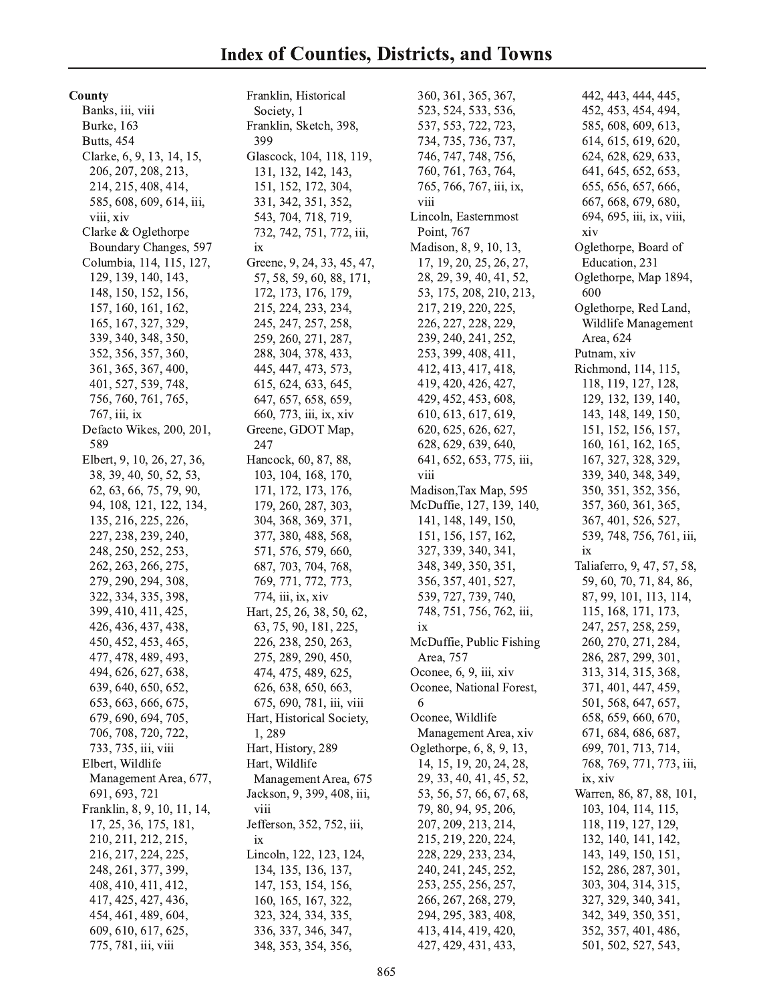County

Banks, iii, viii Burke, 163 **Butts**, 454 Clarke, 6, 9, 13, 14, 15, 206, 207, 208, 213, 214, 215, 408, 414, 585, 608, 609, 614, iii, viii, xiv Clarke & Oglethorpe Boundary Changes, 597 Columbia, 114, 115, 127, 129, 139, 140, 143, 148, 150, 152, 156, 157, 160, 161, 162, 165, 167, 327, 329, 339, 340, 348, 350, 352, 356, 357, 360, 361, 365, 367, 400, 401, 527, 539, 748, 756, 760, 761, 765, 767, iii, ix Defacto Wikes, 200, 201, 589 Elbert, 9, 10, 26, 27, 36, 38, 39, 40, 50, 52, 53, 62, 63, 66, 75, 79, 90, 94, 108, 121, 122, 134, 135, 216, 225, 226, 227, 238, 239, 240, 248, 250, 252, 253, 262, 263, 266, 275, 279, 290, 294, 308, 322, 334, 335, 398, 399, 410, 411, 425, 426, 436, 437, 438, 450, 452, 453, 465, 477, 478, 489, 493, 494, 626, 627, 638, 639, 640, 650, 652, 653, 663, 666, 675, 679, 690, 694, 705, 706, 708, 720, 722, 733, 735, iii, viii Elbert, Wildlife Management Area, 677, 691, 693, 721 Franklin, 8, 9, 10, 11, 14, 17, 25, 36, 175, 181, 210, 211, 212, 215, 216, 217, 224, 225, 248, 261, 377, 399, 408, 410, 411, 412, 417, 425, 427, 436, 454, 461, 489, 604, 609, 610, 617, 625, 775, 781, iii, viii

Franklin, Historical Society, 1 Franklin, Sketch, 398, 399 Glascock, 104, 118, 119, 131, 132, 142, 143, 151, 152, 172, 304, 331, 342, 351, 352, 543, 704, 718, 719, 732, 742, 751, 772, iii, ix Greene, 9, 24, 33, 45, 47, 57, 58, 59, 60, 88, 171, 172, 173, 176, 179, 215, 224, 233, 234, 245, 247, 257, 258, 259, 260, 271, 287, 288, 304, 378, 433, 445, 447, 473, 573, 615, 624, 633, 645, 647, 657, 658, 659, 660, 773, iii, ix, xiv Greene, GDOT Map, 247 Hancock, 60, 87, 88, 103, 104, 168, 170, 171, 172, 173, 176, 179, 260, 287, 303, 304, 368, 369, 371, 377, 380, 488, 568, 571, 576, 579, 660, 687, 703, 704, 768, 769, 771, 772, 773, 774, iii, ix, xiv Hart, 25, 26, 38, 50, 62, 63, 75, 90, 181, 225, 226, 238, 250, 263, 275, 289, 290, 450, 474, 475, 489, 625, 626, 638, 650, 663, 675, 690, 781, iii, viii Hart, Historical Society, 1,289 Hart, History, 289 Hart, Wildlife Management Area, 675 Jackson, 9, 399, 408, iii, viii Jefferson, 352, 752, iii, ix Lincoln, 122, 123, 124, 134, 135, 136, 137, 147, 153, 154, 156, 160, 165, 167, 322, 323, 324, 334, 335, 336, 337, 346, 347, 348, 353, 354, 356,

360, 361, 365, 367, 523, 524, 533, 536, 537, 553, 722, 723, 734, 735, 736, 737, 746, 747, 748, 756, 760, 761, 763, 764, 765, 766, 767, iii, ix, viii Lincoln, Easternmost Point, 767 Madison, 8, 9, 10, 13, 17, 19, 20, 25, 26, 27, 28, 29, 39, 40, 41, 52, 53, 175, 208, 210, 213, 217, 219, 220, 225, 226, 227, 228, 229, 239, 240, 241, 252, 253, 399, 408, 411, 412, 413, 417, 418, 419, 420, 426, 427, 429, 452, 453, 608, 610, 613, 617, 619, 620, 625, 626, 627, 628, 629, 639, 640, 641, 652, 653, 775, iii, viii Madison, Tax Map, 595 McDuffie, 127, 139, 140, 141, 148, 149, 150, 151, 156, 157, 162, 327, 339, 340, 341, 348, 349, 350, 351, 356, 357, 401, 527, 539, 727, 739, 740, 748, 751, 756, 762, iii, ix McDuffie, Public Fishing Area, 757 Oconee, 6, 9, iii, xiv Oconee, National Forest, 6 Oconee, Wildlife Management Area, xiv Oglethorpe, 6, 8, 9, 13, 14, 15, 19, 20, 24, 28, 29, 33, 40, 41, 45, 52, 53, 56, 57, 66, 67, 68, 79, 80, 94, 95, 206, 207, 209, 213, 214, 215, 219, 220, 224, 228, 229, 233, 234, 240, 241, 245, 252, 253, 255, 256, 257, 266, 267, 268, 279, 294, 295, 383, 408, 413, 414, 419, 420, 427, 429, 431, 433,

442, 443, 444, 445, 452, 453, 454, 494, 585, 608, 609, 613, 614, 615, 619, 620, 624, 628, 629, 633, 641, 645, 652, 653, 655, 656, 657, 666, 667, 668, 679, 680, 694, 695, iii, ix, viii, xiv Oglethorpe, Board of Education, 231 Oglethorpe, Map 1894, 600 Oglethorpe, Red Land, Wildlife Management Area, 624 Putnam, xiv Richmond, 114, 115, 118, 119, 127, 128, 129, 132, 139, 140, 143, 148, 149, 150, 151, 152, 156, 157, 160, 161, 162, 165, 167, 327, 328, 329, 339, 340, 348, 349, 350, 351, 352, 356, 357, 360, 361, 365, 367, 401, 526, 527, 539, 748, 756, 761, iii,  $ix$ Taliaferro, 9, 47, 57, 58, 59, 60, 70, 71, 84, 86, 87, 99, 101, 113, 114, 115, 168, 171, 173, 247, 257, 258, 259, 260, 270, 271, 284, 286, 287, 299, 301, 313, 314, 315, 368, 371, 401, 447, 459, 501, 568, 647, 657, 658, 659, 660, 670, 671, 684, 686, 687, 699, 701, 713, 714, 768, 769, 771, 773, iii, ix, xiv Warren, 86, 87, 88, 101, 103, 104, 114, 115, 118, 119, 127, 129, 132, 140, 141, 142, 143, 149, 150, 151, 152, 286, 287, 301, 303, 304, 314, 315, 327, 329, 340, 341, 342, 349, 350, 351, 352, 357, 401, 486,

501, 502, 527, 543,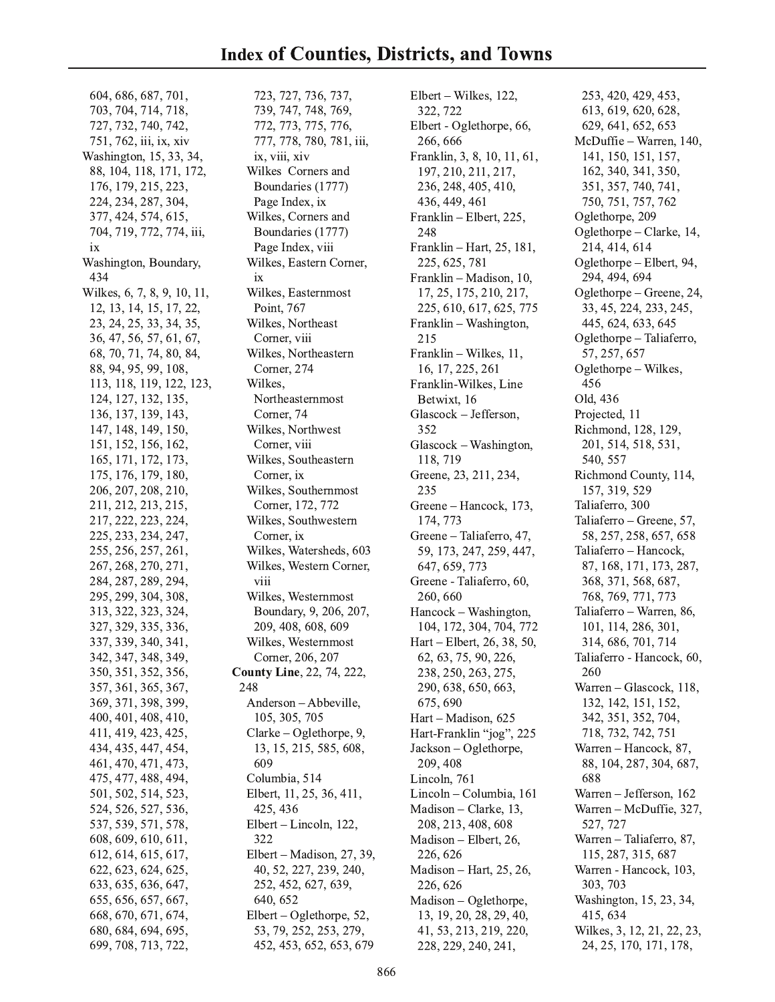604, 686, 687, 701, 703, 704, 714, 718, 727, 732, 740, 742, 751, 762, iii, ix, xiv Washington, 15, 33, 34, 88, 104, 118, 171, 172, 176, 179, 215, 223, 224, 234, 287, 304, 377, 424, 574, 615, 704, 719, 772, 774, iii,  $ix$ Washington, Boundary, 434 Wilkes, 6, 7, 8, 9, 10, 11, 12, 13, 14, 15, 17, 22, 23, 24, 25, 33, 34, 35, 36, 47, 56, 57, 61, 67, 68, 70, 71, 74, 80, 84, 88, 94, 95, 99, 108, 113, 118, 119, 122, 123, 124, 127, 132, 135, 136, 137, 139, 143, 147, 148, 149, 150, 151, 152, 156, 162, 165, 171, 172, 173, 175, 176, 179, 180, 206, 207, 208, 210, 211, 212, 213, 215, 217, 222, 223, 224, 225, 233, 234, 247, 255, 256, 257, 261, 267, 268, 270, 271, 284, 287, 289, 294, 295, 299, 304, 308, 313, 322, 323, 324, 327, 329, 335, 336, 337, 339, 340, 341, 342, 347, 348, 349, 350, 351, 352, 356, 357, 361, 365, 367, 369, 371, 398, 399, 400, 401, 408, 410, 411, 419, 423, 425, 434, 435, 447, 454, 461, 470, 471, 473, 475, 477, 488, 494, 501, 502, 514, 523, 524, 526, 527, 536, 537, 539, 571, 578, 608, 609, 610, 611, 612, 614, 615, 617, 622, 623, 624, 625, 633, 635, 636, 647, 655, 656, 657, 667, 668, 670, 671, 674, 680, 684, 694, 695,

699, 708, 713, 722,

723, 727, 736, 737, 739, 747, 748, 769, 772, 773, 775, 776, 777, 778, 780, 781, iii, ix, viii, xiv Wilkes Corners and Boundaries (1777) Page Index, ix Wilkes, Corners and Boundaries (1777) Page Index, viii Wilkes, Eastern Corner, ix Wilkes, Easternmost Point, 767 Wilkes, Northeast Corner, viii Wilkes, Northeastern Corner, 274 Wilkes, Northeasternmost Corner, 74 Wilkes, Northwest Corner, viii Wilkes, Southeastern Corner, ix Wilkes, Southernmost Corner, 172, 772 Wilkes, Southwestern Corner, ix Wilkes, Watersheds, 603 Wilkes, Western Corner, viii Wilkes, Westernmost Boundary, 9, 206, 207, 209, 408, 608, 609 Wilkes, Westernmost Corner, 206, 207 **County Line**, 22, 74, 222, 248 Anderson - Abbeville, 105, 305, 705 Clarke – Oglethorpe, 9, 13, 15, 215, 585, 608, 609 Columbia, 514 Elbert, 11, 25, 36, 411, 425, 436 Elbert – Lincoln, 122, 322 Elbert – Madison, 27, 39, 40, 52, 227, 239, 240, 252, 452, 627, 639, 640, 652 Elbert – Oglethorpe, 52, 53, 79, 252, 253, 279, 452, 453, 652, 653, 679

Elbert – Wilkes, 122, 322, 722 Elbert - Oglethorpe, 66, 266, 666 Franklin, 3, 8, 10, 11, 61, 197, 210, 211, 217, 236, 248, 405, 410, 436, 449, 461 Franklin - Elbert, 225, 248 Franklin - Hart, 25, 181, 225, 625, 781 Franklin - Madison, 10, 17, 25, 175, 210, 217, 225, 610, 617, 625, 775 Franklin – Washington, 215 Franklin - Wilkes, 11, 16, 17, 225, 261 Franklin-Wilkes, Line Betwixt, 16 Glascock - Jefferson, 352 Glascock - Washington, 118, 719 Greene, 23, 211, 234, 235 Greene - Hancock, 173, 174, 773 Greene - Taliaferro, 47, 59, 173, 247, 259, 447, 647, 659, 773 Greene - Taliaferro, 60, 260,660 Hancock - Washington, 104, 172, 304, 704, 772 Hart – Elbert, 26, 38, 50, 62, 63, 75, 90, 226, 238, 250, 263, 275, 290, 638, 650, 663, 675, 690 Hart - Madison, 625 Hart-Franklin "jog", 225 Jackson – Oglethorpe, 209, 408 Lincoln, 761 Lincoln - Columbia, 161 Madison – Clarke,  $13$ , 208, 213, 408, 608 Madison - Elbert, 26, 226, 626 Madison - Hart, 25, 26, 226, 626 Madison - Oglethorpe, 13, 19, 20, 28, 29, 40, 41, 53, 213, 219, 220, 228, 229, 240, 241,

253, 420, 429, 453, 613, 619, 620, 628, 629, 641, 652, 653 McDuffie - Warren, 140, 141, 150, 151, 157, 162, 340, 341, 350, 351, 357, 740, 741, 750, 751, 757, 762 Oglethorpe, 209 Oglethorpe – Clarke, 14, 214, 414, 614 Oglethorpe - Elbert, 94, 294, 494, 694 Oglethorpe – Greene, 24, 33, 45, 224, 233, 245, 445, 624, 633, 645 Oglethorpe – Taliaferro, 57, 257, 657 Oglethorpe - Wilkes, 456 Old, 436 Projected, 11 Richmond, 128, 129, 201, 514, 518, 531, 540, 557 Richmond County, 114, 157, 319, 529 Taliaferro, 300 Taliaferro – Greene, 57, 58, 257, 258, 657, 658 Taliaferro - Hancock, 87, 168, 171, 173, 287, 368, 371, 568, 687, 768, 769, 771, 773 Taliaferro - Warren, 86, 101, 114, 286, 301, 314, 686, 701, 714 Taliaferro - Hancock, 60, 260 Warren - Glascock, 118, 132, 142, 151, 152, 342, 351, 352, 704, 718, 732, 742, 751 Warren - Hancock, 87, 88, 104, 287, 304, 687, 688 Warren - Jefferson, 162 Warren - McDuffie, 327, 527, 727 Warren - Taliaferro, 87, 115, 287, 315, 687 Warren - Hancock, 103, 303, 703 Washington, 15, 23, 34, 415, 634 Wilkes, 3, 12, 21, 22, 23, 24, 25, 170, 171, 178,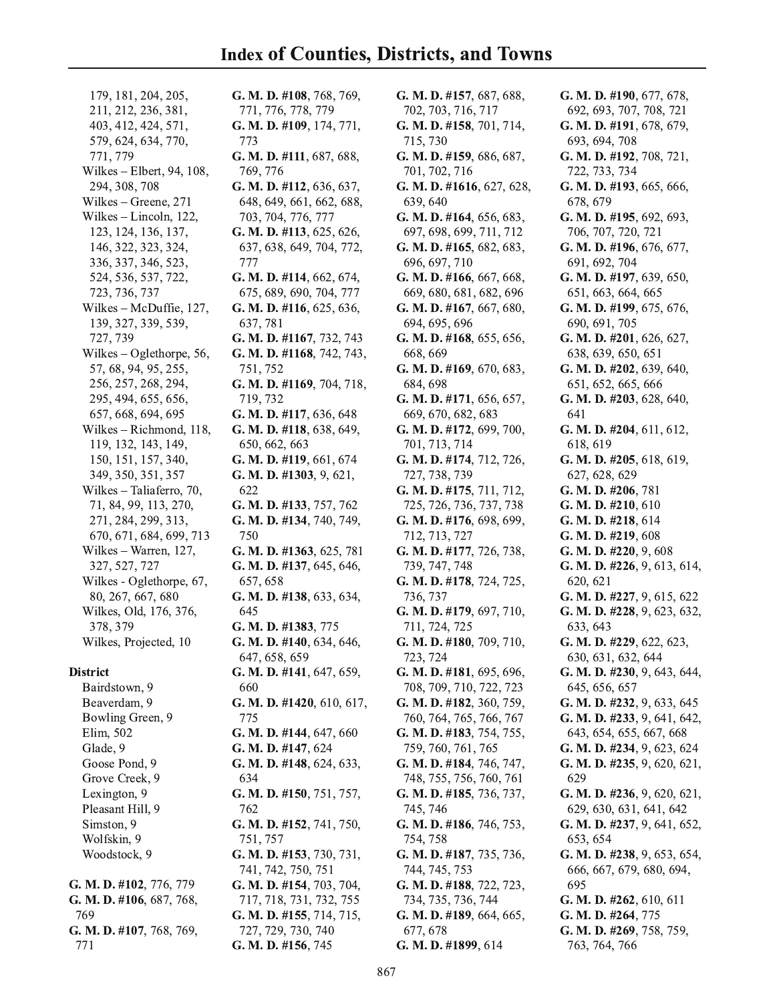179, 181, 204, 205, 211, 212, 236, 381, 403, 412, 424, 571, 579, 624, 634, 770, 771, 779 Wilkes - Elbert, 94, 108, 294, 308, 708 Wilkes - Greene, 271 Wilkes - Lincoln, 122, 123, 124, 136, 137, 146, 322, 323, 324, 336, 337, 346, 523, 524, 536, 537, 722, 723, 736, 737 Wilkes - McDuffie, 127, 139, 327, 339, 539, 727, 739 Wilkes – Oglethorpe, 56, 57, 68, 94, 95, 255, 256, 257, 268, 294, 295, 494, 655, 656, 657, 668, 694, 695 Wilkes - Richmond, 118, 119, 132, 143, 149, 150, 151, 157, 340, 349, 350, 351, 357 Wilkes – Taliaferro, 70, 71, 84, 99, 113, 270, 271, 284, 299, 313, 670, 671, 684, 699, 713 Wilkes - Warren, 127, 327, 527, 727 Wilkes - Oglethorpe, 67, 80, 267, 667, 680 Wilkes, Old, 176, 376, 378, 379 Wilkes, Projected, 10

## **District**

Bairdstown, 9 Beaverdam, 9 Bowling Green, 9 Elim, 502 Glade, 9 Goose Pond, 9 Grove Creek, 9 Lexington, 9 Pleasant Hill, 9 Simston, 9 Wolfskin, 9 Woodstock, 9

G. M. D. #102, 776, 779 G. M. D. #106, 687, 768, 769 G. M. D. #107, 768, 769, 771

G. M. D. #108, 768, 769, 771, 776, 778, 779 G. M. D. #109, 174, 771, 773 G. M. D.  $\#111,687,688,$ 769, 776 G. M. D. #112, 636, 637, 648, 649, 661, 662, 688, 703, 704, 776, 777 G. M. D. #113, 625, 626, 637, 638, 649, 704, 772, 777 G. M. D. #114, 662, 674, 675, 689, 690, 704, 777 G. M. D. #116, 625, 636, 637, 781 G. M. D. #1167, 732, 743 G. M. D. #1168, 742, 743, 751, 752 G. M. D. #1169, 704, 718, 719, 732 G. M. D. #117, 636, 648 G. M. D. #118, 638, 649, 650, 662, 663 G. M. D. #119, 661, 674 G. M. D. #1303, 9, 621, 622 G. M. D. #133, 757, 762 G. M. D. #134, 740, 749, 750 G. M. D. #1363, 625, 781 G. M. D. #137, 645, 646, 657, 658 G. M. D. #138, 633, 634, 645 G. M. D. #1383, 775 G. M. D. #140, 634, 646, 647, 658, 659 G. M. D. #141, 647, 659, 660 G. M. D. #1420, 610, 617, 775 G. M. D.  $\#144, 647, 660$ G. M. D. #147, 624 G. M. D. #148, 624, 633, 634 G. M. D. #150, 751, 757, 762 G. M. D. #152, 741, 750, 751, 757 G. M. D. #153, 730, 731, 741, 742, 750, 751 G. M. D. #154, 703, 704, 717, 718, 731, 732, 755 G. M. D. #155, 714, 715,

727, 729, 730, 740

G. M. D. #156, 745

G. M. D. #157, 687, 688, 702, 703, 716, 717 G. M. D. #158, 701, 714, 715, 730 G. M. D. #159, 686, 687, 701, 702, 716 G. M. D. #1616, 627, 628, 639, 640 G. M. D. #164, 656, 683, 697, 698, 699, 711, 712 G. M. D. #165, 682, 683, 696, 697, 710 G. M. D. #166, 667, 668, 669, 680, 681, 682, 696 G. M. D. #167, 667, 680, 694, 695, 696 G. M. D. #168, 655, 656, 668, 669 G. M. D. #169, 670, 683, 684, 698 G. M. D. #171, 656, 657, 669, 670, 682, 683 G. M. D. #172, 699, 700, 701, 713, 714 G. M. D. #174, 712, 726, 727, 738, 739 G. M. D. #175, 711, 712, 725, 726, 736, 737, 738 G. M. D. #176, 698, 699, 712, 713, 727 G. M. D. #177, 726, 738, 739, 747, 748 G. M. D. #178, 724, 725, 736, 737 G. M. D. #179, 697, 710, 711, 724, 725 G. M. D. #180, 709, 710, 723, 724 G. M. D. #181, 695, 696, 708, 709, 710, 722, 723 G. M. D. #182, 360, 759, 760, 764, 765, 766, 767 G. M. D. #183, 754, 755, 759, 760, 761, 765 G. M. D. #184, 746, 747, 748, 755, 756, 760, 761 G. M. D. #185, 736, 737, 745, 746 G. M. D. #186, 746, 753, 754, 758 G. M. D. #187, 735, 736, 744, 745, 753 G. M. D. #188, 722, 723, 734, 735, 736, 744 G. M. D. #189, 664, 665, 677, 678 G. M. D. #1899, 614

G. M. D. #190, 677, 678, 692, 693, 707, 708, 721 G. M. D. #191, 678, 679, 693, 694, 708 G. M. D. #192, 708, 721, 722, 733, 734 G. M. D. #193, 665, 666, 678, 679 G. M. D. #195, 692, 693, 706, 707, 720, 721 G. M. D. #196, 676, 677, 691, 692, 704 G. M. D. #197, 639, 650, 651, 663, 664, 665 G. M. D. #199, 675, 676, 690, 691, 705 G. M. D. #201, 626, 627, 638, 639, 650, 651 G. M. D. #202, 639, 640, 651, 652, 665, 666 G. M. D. #203, 628, 640, 641 G. M. D. #204, 611, 612, 618, 619 G. M. D.  $\#205, 618, 619,$ 627, 628, 629 G. M. D. #206, 781 G. M. D. #210, 610 G. M. D. #218, 614 G. M. D. #219, 608 G. M. D. #220, 9, 608 G. M. D.  $\#226, 9, 613, 614,$ 620, 621 G. M. D. #227, 9, 615, 622 G. M. D. #228, 9, 623, 632, 633, 643 G. M. D. #229, 622, 623, 630, 631, 632, 644 G. M. D. #230, 9, 643, 644, 645, 656, 657 G. M. D. #232, 9, 633, 645 G. M. D. #233, 9, 641, 642, 643, 654, 655, 667, 668 G. M. D. #234, 9, 623, 624 G. M. D. #235, 9, 620, 621, 629 G. M. D. #236, 9, 620, 621, 629, 630, 631, 641, 642 G. M. D.  $\#237, 9, 641, 652,$ 653, 654 G. M. D. #238, 9, 653, 654, 666, 667, 679, 680, 694, 695 G. M. D. #262, 610, 611 G. M. D. #264, 775 G. M. D. #269, 758, 759, 763, 764, 766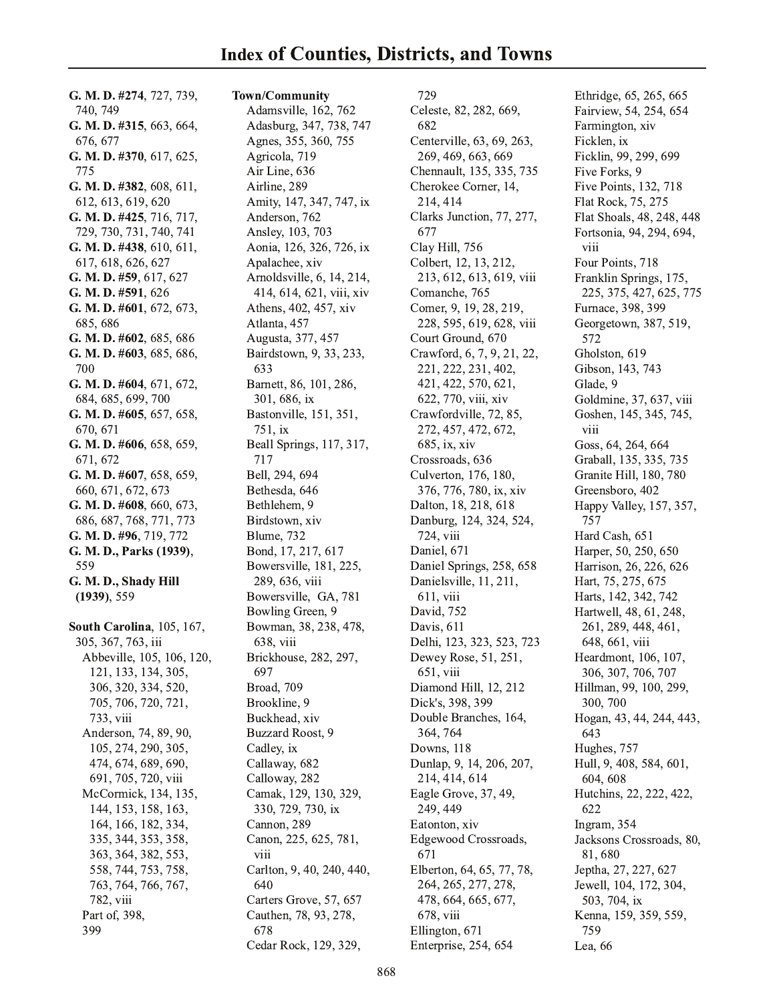G. M. D. #274, 727, 739, 740, 749 G. M. D. #315, 663, 664, 676, 677 G. M. D.  $\#370, 617, 625,$ 775 G. M. D. #382, 608, 611, 612, 613, 619, 620 G. M. D. #425, 716, 717, 729, 730, 731, 740, 741 G. M. D. #438, 610, 611, 617, 618, 626, 627 G. M. D. #59, 617, 627 G. M. D. #591, 626 G. M. D. #601, 672, 673, 685, 686 G. M. D. #602, 685, 686 G. M. D. #603, 685, 686, 700 G. M. D. #604, 671, 672, 684, 685, 699, 700 G. M. D. #605, 657, 658, 670, 671 G. M. D. #606, 658, 659, 671, 672 G. M. D. #607, 658, 659, 660, 671, 672, 673 G. M. D. #608, 660, 673, 686, 687, 768, 771, 773 G. M. D. #96, 719, 772 G. M. D., Parks (1939), 559 G. M. D., Shady Hill  $(1939), 559$ South Carolina, 105, 167, 305, 367, 763, iii Abbeville, 105, 106, 120, 121, 133, 134, 305, 306, 320, 334, 520, 705, 706, 720, 721, 733, viii Anderson, 74, 89, 90,

105, 274, 290, 305,

474, 674, 689, 690,

691, 705, 720, viii

McCormick, 134, 135,

144, 153, 158, 163,

164, 166, 182, 334,

335, 344, 353, 358,

363, 364, 382, 553,

558, 744, 753, 758,

763, 764, 766, 767,

782, viii

Part of, 398,

399

Adasburg, 347, 738, 747 Agnes, 355, 360, 755 Agricola, 719 Air Line, 636 Airline, 289 Amity, 147, 347, 747, ix Anderson, 762 Ansley, 103, 703 Aonia, 126, 326, 726, ix Apalachee, xiv Arnoldsville, 6, 14, 214, 414, 614, 621, viii, xiv Athens, 402, 457, xiv Atlanta, 457 Augusta, 377, 457 Bairdstown, 9, 33, 233, 633 Barnett, 86, 101, 286, 301, 686, ix Bastonville, 151, 351, 751, ix Beall Springs, 117, 317, 717 Bell. 294, 694 Bethesda, 646 Bethlehem, 9 Birdstown, xiv Blume, 732 Bond, 17, 217, 617 Bowersville, 181, 225, 289, 636, viii Bowersville, GA, 781 Bowling Green, 9 Bowman, 38, 238, 478, 638, viii Brickhouse, 282, 297, 697 Broad, 709 Brookline, 9 Buckhead, xiv Buzzard Roost, 9 Cadley, ix Callaway, 682 Calloway, 282 Camak, 129, 130, 329, 330, 729, 730, ix Cannon, 289 Canon, 225, 625, 781, viii Carlton, 9, 40, 240, 440, 640 Carters Grove, 57, 657 Cauthen, 78, 93, 278, 678 Cedar Rock, 129, 329,

Town/Community

Adamsville, 162, 762

729 Celeste, 82, 282, 669, 682 Centerville, 63, 69, 263, 269, 469, 663, 669 Chennault, 135, 335, 735 Cherokee Corner, 14, 214, 414 Clarks Junction, 77, 277, 677 Clay Hill, 756 Colbert, 12, 13, 212, 213, 612, 613, 619, viii Comanche, 765 Comer, 9, 19, 28, 219, 228, 595, 619, 628, viii Court Ground, 670 Crawford, 6, 7, 9, 21, 22, 221, 222, 231, 402, 421, 422, 570, 621, 622, 770, viii, xiv Crawfordville, 72, 85, 272, 457, 472, 672, 685, ix, xiv Crossroads, 636 Culverton, 176, 180, 376, 776, 780, ix, xiv Dalton, 18, 218, 618 Danburg, 124, 324, 524, 724, viii Daniel, 671 Daniel Springs, 258, 658 Danielsville, 11, 211, 611, viii David, 752 Davis, 611 Delhi, 123, 323, 523, 723 Dewey Rose, 51, 251, 651, viii Diamond Hill, 12, 212 Dick's, 398, 399 Double Branches, 164, 364, 764 Downs, 118 Dunlap, 9, 14, 206, 207, 214, 414, 614 Eagle Grove, 37, 49, 249, 449 Eatonton, xiv Edgewood Crossroads, 671 Elberton, 64, 65, 77, 78, 264, 265, 277, 278, 478, 664, 665, 677, 678, viii Ellington, 671 Enterprise, 254, 654

Ethridge, 65, 265, 665 Fairview, 54, 254, 654 Farmington, xiv Ficklen, ix Ficklin, 99, 299, 699 Five Forks, 9 Five Points, 132, 718 Flat Rock, 75, 275 Flat Shoals, 48, 248, 448 Fortsonia, 94, 294, 694, viii Four Points, 718 Franklin Springs, 175, 225, 375, 427, 625, 775 Furnace, 398, 399 Georgetown, 387, 519, 572 Gholston, 619 Gibson, 143, 743 Glade, 9 Goldmine, 37, 637, viii Goshen, 145, 345, 745, viii Goss, 64, 264, 664 Graball, 135, 335, 735 Granite Hill, 180, 780 Greensboro, 402 Happy Valley, 157, 357, 757 Hard Cash, 651 Harper, 50, 250, 650 Harrison, 26, 226, 626 Hart, 75, 275, 675 Harts, 142, 342, 742 Hartwell, 48, 61, 248, 261, 289, 448, 461, 648, 661, viii Heardmont, 106, 107, 306, 307, 706, 707 Hillman, 99, 100, 299, 300, 700 Hogan, 43, 44, 244, 443, 643 Hughes, 757 Hull, 9, 408, 584, 601, 604, 608 Hutchins, 22, 222, 422, 622 Ingram, 354 Jacksons Crossroads, 80, 81,680 Jeptha, 27, 227, 627 Jewell, 104, 172, 304, 503, 704, ix Kenna, 159, 359, 559, 759 Lea, 66